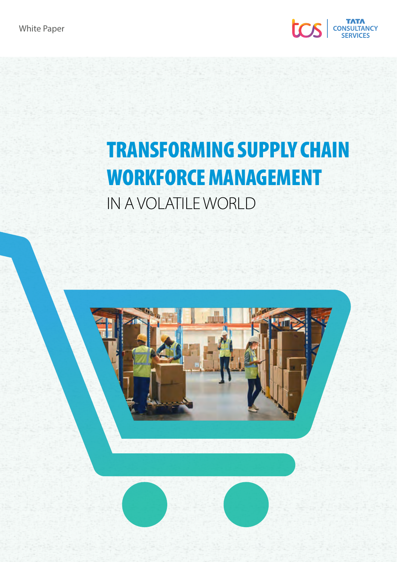

# TRANSFORMING SUPPLY CHAIN WORKFORCE MANAGEMENT IN A VOLATILE WORLD

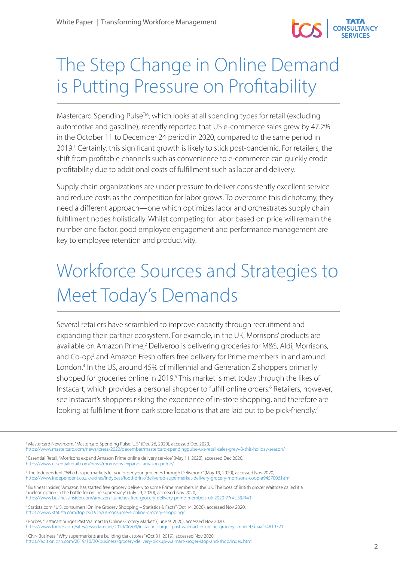

## The Step Change in Online Demand is Putting Pressure on Profitability

Mastercard Spending Pulse<sup>TM</sup>, which looks at all spending types for retail (excluding automotive and gasoline), recently reported that US e-commerce sales grew by 47.2% in the October 11 to December 24 period in 2020, compared to the same period in 2019.<sup>1</sup> Certainly, this significant growth is likely to stick post-pandemic. For retailers, the shift from profitable channels such as convenience to e-commerce can quickly erode profitability due to additional costs of fulfillment such as labor and delivery.

Supply chain organizations are under pressure to deliver consistently excellent service and reduce costs as the competition for labor grows. To overcome this dichotomy, they need a different approach—one which optimizes labor and orchestrates supply chain fulfillment nodes holistically. Whilst competing for labor based on price will remain the number one factor, good employee engagement and performance management are key to employee retention and productivity.

# Workforce Sources and Strategies to Meet Today's Demands

Several retailers have scrambled to improve capacity through recruitment and expanding their partner ecosystem. For example, in the UK, Morrisons' products are available on Amazon Prime;<sup>2</sup> Deliveroo is delivering groceries for M&S, Aldi, Morrisons, and Co-op;<sup>3</sup> and Amazon Fresh offers free delivery for Prime members in and around London.4 In the US, around 45% of millennial and Generation Z shoppers primarily shopped for groceries online in 2019.<sup>5</sup> This market is met today through the likes of Instacart, which provides a personal shopper to fulfill online orders.<sup>6</sup> Retailers, however, see Instacart's shoppers risking the experience of in-store shopping, and therefore are looking at fulfillment from dark store locations that are laid out to be pick-friendly.<sup>7</sup>

2 Essential Retail, "Morrisons expand Amazon Prime online delivery service" (May 11, 2020), accessed Dec 2020, https://www.essentialretail.com/news/morrisons-expands-amazon-prime/

3 The Independent, "Which supermarkets let you order your groceries through Deliveroo?" (May 19, 2020), accessed Nov 2020, https://www.independent.co.uk/extras/indybest/food-drink/deliveroo-supermarket-delivery-grocery-morrisons-coop-a9457006.html

4 Business Insider, "Amazon has started free grocery delivery to some Prime members in the UK. The boss of British grocer Waitrose called it a 'nuclear' option in the battle for online supremacy" (July 29, 2020), accessed Nov 2020, https://www.businessinsider.com/amazon-launches-free-grocery-delivery-prime-members-uk-2020-7?r=US&IR=T

5 Statista.com, "U.S. consumers: Online Grocery Shopping – Statistics & Facts" (Oct 14, 2020), accessed Nov 2020, https://www.statista.com/topics/1915/us-consumers-online-grocery-shopping/

6 Forbes, "Instacart Surges Past Walmart In Online Grocery Market" (June 9, 2020), accessed Nov 2020, https://www.forbes.com/sites/jessedamiani/2020/06/09/instacart-surges-past-walmart-in-online-grocery--market/#aaafd4819721

7 CNN Business, "Why supermarkets are building 'dark stores'" (Oct 31, 2019), accessed Nov 2020, https://edition.cnn.com/2019/10/30/business/grocery-delivery-pickup-walmart-kroger-stop-and-shop/index.html

<sup>1</sup> Mastercard Newsroom, "Mastercard Spending Pulse: U.S." (Dec 26, 2020), accessed Dec 2020,

https://www.mastercard.com/news/press/2020/december/mastercard-spendingpulse-u-s-retail-sales-grew-3-this-holiday-season/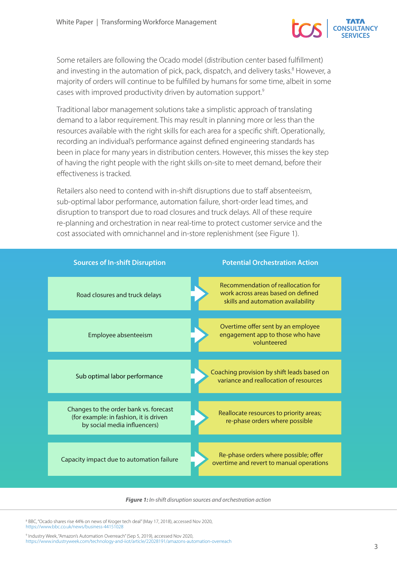

<span id="page-2-0"></span>Some retailers are following the Ocado model (distribution center based fulfillment) and investing in the automation of pick, pack, dispatch, and delivery tasks.<sup>8</sup> However, a majority of orders will continue to be fulfilled by humans for some time, albeit in some cases with improved productivity driven by automation support.9

Traditional labor management solutions take a simplistic approach of translating demand to a labor requirement. This may result in planning more or less than the resources available with the right skills for each area for a specific shift. Operationally, recording an individual's performance against defined engineering standards has been in place for many years in distribution centers. However, this misses the key step of having the right people with the right skills on-site to meet demand, before their effectiveness is tracked.

Retailers also need to contend with in-shift disruptions due to staff absenteeism, sub-optimal labor performance, automation failure, short-order lead times, and disruption to transport due to road closures and truck delays. All of these require re-planning and orchestration in near real-time to protect customer service and the cost associated with omnichannel and in-store replenishment (see Figure 1).

| <b>Sources of In-shift Disruption</b>                                                                            | <b>Potential Orchestration Action</b>                                                                          |
|------------------------------------------------------------------------------------------------------------------|----------------------------------------------------------------------------------------------------------------|
| Road closures and truck delays                                                                                   | Recommendation of reallocation for<br>work across areas based on defined<br>skills and automation availability |
| Employee absenteeism                                                                                             | Overtime offer sent by an employee<br>engagement app to those who have<br>volunteered                          |
| Sub optimal labor performance                                                                                    | Coaching provision by shift leads based on<br>variance and reallocation of resources                           |
| Changes to the order bank vs. forecast<br>(for example: in fashion, it is driven<br>by social media influencers) | Reallocate resources to priority areas;<br>re-phase orders where possible                                      |
| Capacity impact due to automation failure                                                                        | Re-phase orders where possible; offer<br>overtime and revert to manual operations                              |

*Figure 1: In-shift disruption sources and orchestration action*

8 BBC, "Ocado shares rise 44% on news of Kroger tech deal" (May 17, 2018), accessed Nov 2020, https://www.bbc.co.uk/news/business-44151028

9 Industry Week, "Amazon's Automation Overreach" (Sep 5, 2019), accessed Nov 2020, https://www.industryweek.com/technology-and-iiot/article/22028191/amazons-automation-overreach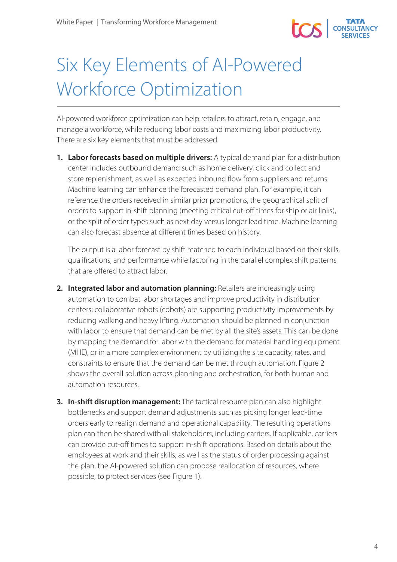

# Six Key Elements of AI-Powered Workforce Optimization

AI-powered workforce optimization can help retailers to attract, retain, engage, and manage a workforce, while reducing labor costs and maximizing labor productivity. There are six key elements that must be addressed:

**1. Labor forecasts based on multiple drivers:** A typical demand plan for a distribution center includes outbound demand such as home delivery, click and collect and store replenishment, as well as expected inbound flow from suppliers and returns. Machine learning can enhance the forecasted demand plan. For example, it can reference the orders received in similar prior promotions, the geographical split of orders to support in-shift planning (meeting critical cut-off times for ship or air links), or the split of order types such as next day versus longer lead time. Machine learning can also forecast absence at different times based on history.

The output is a labor forecast by shift matched to each individual based on their skills, qualifications, and performance while factoring in the parallel complex shift patterns that are offered to attract labor.

- **2. Integrated labor and automation planning:** Retailers are increasingly using automation to combat labor shortages and improve productivity in distribution centers; collaborative robots (cobots) are supporting productivity improvements by reducing walking and heavy lifting. Automation should be planned in conjunction with labor to ensure that demand can be met by all the site's assets. This can be done by mapping the demand for labor with the demand for material handling equipment (MHE), or in a more complex environment by utilizing the site capacity, rates, and constraints to ensure that the demand can be met through automation. Figure 2 shows the overall solution across planning and orchestration, for both human and automation resources.
- **3. In-shift disruption management:** The tactical resource plan can also highlight bottlenecks and support demand adjustments such as picking longer lead-time orders early to realign demand and operational capability. The resulting operations plan can then be shared with all stakeholders, including carriers. If applicable, carriers can provide cut-off times to support in-shift operations. Based on details about the employees at work and their skills, as well as the status of order processing against the plan, the AI-powered solution can propose reallocation of resources, where possible, to protect services [\(see Figure 1](#page-2-0)).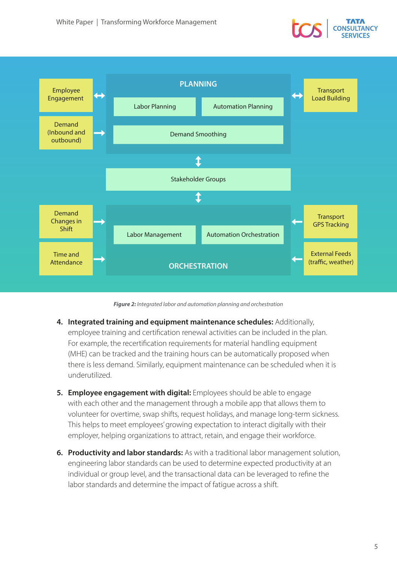



*Figure 2: Integrated labor and automation planning and orchestration*

- **4. Integrated training and equipment maintenance schedules:** Additionally, employee training and certification renewal activities can be included in the plan. For example, the recertification requirements for material handling equipment (MHE) can be tracked and the training hours can be automatically proposed when there is less demand. Similarly, equipment maintenance can be scheduled when it is underutilized.
- **5. Employee engagement with digital:** Employees should be able to engage with each other and the management through a mobile app that allows them to volunteer for overtime, swap shifts, request holidays, and manage long-term sickness. This helps to meet employees' growing expectation to interact digitally with their employer, helping organizations to attract, retain, and engage their workforce.
- **6. Productivity and labor standards:** As with a traditional labor management solution, engineering labor standards can be used to determine expected productivity at an individual or group level, and the transactional data can be leveraged to refine the labor standards and determine the impact of fatigue across a shift.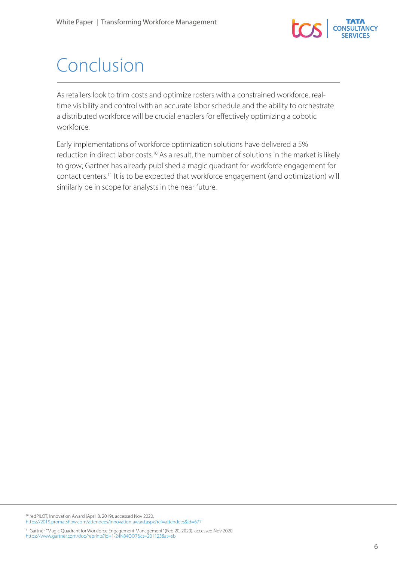

# Conclusion

As retailers look to trim costs and optimize rosters with a constrained workforce, realtime visibility and control with an accurate labor schedule and the ability to orchestrate a distributed workforce will be crucial enablers for effectively optimizing a cobotic workforce.

Early implementations of workforce optimization solutions have delivered a 5% reduction in direct labor costs.<sup>10</sup> As a result, the number of solutions in the market is likely to grow; Gartner has already published a magic quadrant for workforce engagement for contact centers.11 It is to be expected that workforce engagement (and optimization) will similarly be in scope for analysts in the near future.

10 redPILOT, Innovation Award (April 8, 2019), accessed Nov 2020, https://2019.promatshow.com/attendees/innovation-award.aspx?ref=attendees&id=677

<sup>11</sup> Gartner, "Magic Quadrant for Workforce Engagement Management" (Feb 20, 2020), accessed Nov 2020, https://www.gartner.com/doc/reprints?id=1-24N84QO7&ct=201123&st=sb